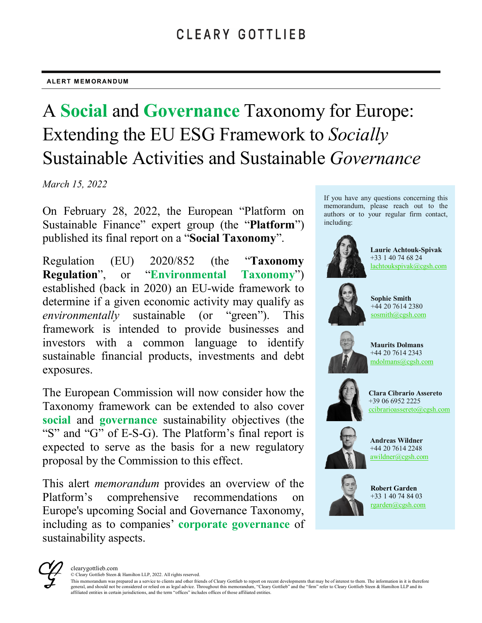#### **ALERT MEMORANDUM**

# A **Social** and **Governance** Taxonomy for Europe: Extending the EU ESG Framework to *Socially* Sustainable Activities and Sustainable *Governance*

*March 15, 2022*

On February 28, 2022, the European "Platform on Sustainable Finance" expert group (the "**Platform**") published its final report on a "**Social Taxonomy**".

Regulation (EU) 2020/852 (the "**Taxonomy Regulation**", or "**Environmental Taxonomy**") established (back in 2020) an EU-wide framework to determine if a given economic activity may qualify as *environmentally* sustainable (or "green"). This framework is intended to provide businesses and investors with a common language to identify sustainable financial products, investments and debt exposures.

The European Commission will now consider how the Taxonomy framework can be extended to also cover **social** and **governance** sustainability objectives (the "S" and "G" of E-S-G). The Platform's final report is expected to serve as the basis for a new regulatory proposal by the Commission to this effect.

This alert *memorandum* provides an overview of the Platform's comprehensive recommendations on Europe's upcoming Social and Governance Taxonomy, including as to companies' **corporate governance** of sustainability aspects.

If you have any questions concerning this memorandum, please reach out to the authors or to your regular firm contact, including:



**Laurie Achtouk-Spivak** +33 1 40 74 68 24 [lachtoukspivak@cgsh.com](mailto:lachtoukspivak@cgsh.com)



**Sophie Smith**  $+44$  20 7614 2380 [sosmith@cgsh.com](mailto:sosmith@cgsh.com)



**Maurits Dolmans**  +44 20 7614 2343 [mdolmans@cgsh.com](mailto:mdolmans@cgsh.com)



**Clara Cibrario Assereto** +39 06 6952 2225 [ccibrarioassereto@cgsh.com](mailto:ccibrarioassereto@cgsh.com)



**Andreas Wildner** +44 20 7614 2248 [awildner@cgsh.com](mailto:awildner@cgsh.com)



**Robert Garden** +33 1 40 74 84 03 [rgarden@cgsh.com](mailto:rgarden@cgsh.com)



© Cleary Gottlieb Steen & Hamilton LLP, 2022. All rights reserved.

This memorandum was prepared as a service to clients and other friends of Cleary Gottlieb to report on recent developments that may be of interest to them. The information in it is therefore general, and should not be considered or relied on as legal advice. Throughout this memorandum, "Cleary Gottlieb" and the "firm" refer to Cleary Gottlieb Steen & Hamilton LLP and its affiliated entities in certain jurisdictions, and the term "offices" includes offices of those affiliated entities.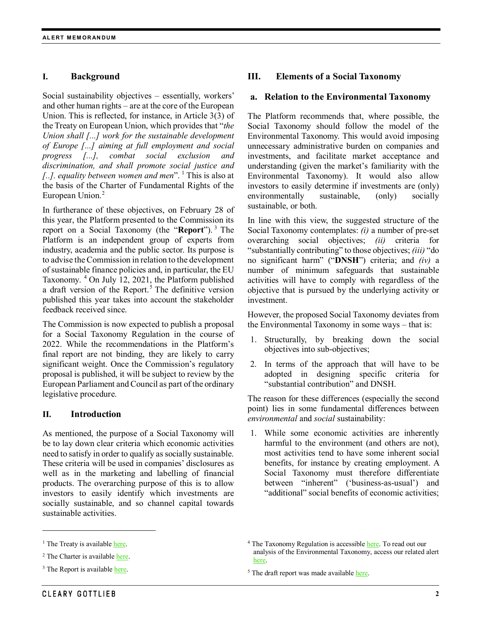# **I. Background**

Social sustainability objectives – essentially, workers' and other human rights – are at the core of the European Union. This is reflected, for instance, in Article 3(3) of the Treaty on European Union, which provides that "*the Union shall [...] work for the sustainable development of Europe [...] aiming at full employment and social progress [...], combat social exclusion and discrimination, and shall promote social justice and [..]. equality between women and men*". [1](#page-1-0) This is also at the basis of the Charter of Fundamental Rights of the European Union.<sup>[2](#page-1-1)</sup>

In furtherance of these objectives, on February 28 of this year, the Platform presented to the Commission its report on a Social Taxonomy (the "**Report**"). [3](#page-1-2) The Platform is an independent group of experts from industry, academia and the public sector. Its purpose is to advise the Commission in relation to the development of sustainable finance policies and, in particular, the EU Taxonomy. [4](#page-1-0) On July 12, 2021, the Platform published a draft version of the Report.<sup>[5](#page-1-3)</sup> The definitive version published this year takes into account the stakeholder feedback received since.

The Commission is now expected to publish a proposal for a Social Taxonomy Regulation in the course of 2022. While the recommendations in the Platform's final report are not binding, they are likely to carry significant weight. Once the Commission's regulatory proposal is published, it will be subject to review by the European Parliament and Council as part of the ordinary legislative procedure.

# **II. Introduction**

As mentioned, the purpose of a Social Taxonomy will be to lay down clear criteria which economic activities need to satisfy in order to qualify as socially sustainable. These criteria will be used in companies' disclosures as well as in the marketing and labelling of financial products. The overarching purpose of this is to allow investors to easily identify which investments are socially sustainable, and so channel capital towards sustainable activities.

# **III. Elements of a Social Taxonomy**

#### **a. Relation to the Environmental Taxonomy**

The Platform recommends that, where possible, the Social Taxonomy should follow the model of the Environmental Taxonomy. This would avoid imposing unnecessary administrative burden on companies and investments, and facilitate market acceptance and understanding (given the market's familiarity with the Environmental Taxonomy). It would also allow investors to easily determine if investments are (only) environmentally sustainable, (only) socially sustainable, or both.

In line with this view, the suggested structure of the Social Taxonomy contemplates: *(i)* a number of pre-set overarching social objectives; *(ii)* criteria for "substantially contributing" to those objectives; *(iii)* "do no significant harm" ("**DNSH**") criteria; and *(iv)* a number of minimum safeguards that sustainable activities will have to comply with regardless of the objective that is pursued by the underlying activity or investment.

However, the proposed Social Taxonomy deviates from the Environmental Taxonomy in some ways – that is:

- 1. Structurally, by breaking down the social objectives into sub-objectives;
- 2. In terms of the approach that will have to be adopted in designing specific criteria for "substantial contribution" and DNSH.

The reason for these differences (especially the second point) lies in some fundamental differences between *environmental* and *social* sustainability:

1. While some economic activities are inherently harmful to the environment (and others are not), most activities tend to have some inherent social benefits, for instance by creating employment. A Social Taxonomy must therefore differentiate between "inherent" ('business-as-usual') and "additional" social benefits of economic activities;

 $\overline{a}$ 

<span id="page-1-0"></span> $<sup>1</sup>$  The Treaty is availabl[e here.](https://eur-lex.europa.eu/resource.html?uri=cellar:2bf140bf-a3f8-4ab2-b506-fd71826e6da6.0023.02/DOC_1&format=PDF)</sup>

<span id="page-1-1"></span> $2$  The Charter is availabl[e here.](https://eur-lex.europa.eu/legal-content/EN/TXT/PDF/?uri=CELEX:12012P/TXT&from=EN)

<span id="page-1-3"></span><span id="page-1-2"></span><sup>&</sup>lt;sup>3</sup> The Report is availabl[e here.](https://ec.europa.eu/info/sites/default/files/business_economy_euro/banking_and_finance/documents/280222-sustainable-finance-platform-finance-report-social-taxonomy.pdf)

<sup>&</sup>lt;sup>4</sup> The Taxonomy Regulation is accessible [here.](https://eur-lex.europa.eu/legal-content/EN/TXT/PDF/?uri=CELEX:32020R0852&from=EN) To read out our analysis of the Environmental Taxonomy, access our related alert [here.](https://www.clearygottlieb.com/-/media/files/alert-memos-2020/a-framework-taxonomy-for-sustainable-finance.pdf)

<sup>&</sup>lt;sup>5</sup> The draft report was made available [here.](https://ec.europa.eu/info/sites/default/files/business_economy_euro/banking_and_finance/documents/sf-draft-report-social-taxonomy-july2021_en.pdf)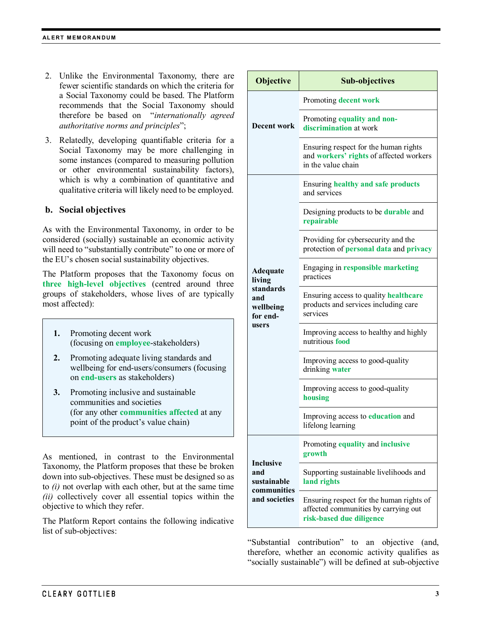- 2. Unlike the Environmental Taxonomy, there are fewer scientific standards on which the criteria for a Social Taxonomy could be based. The Platform recommends that the Social Taxonomy should therefore be based on "*internationally agreed authoritative norms and principles*";
- 3. Relatedly, developing quantifiable criteria for a Social Taxonomy may be more challenging in some instances (compared to measuring pollution or other environmental sustainability factors), which is why a combination of quantitative and qualitative criteria will likely need to be employed.

#### **b. Social objectives**

As with the Environmental Taxonomy, in order to be considered (socially) sustainable an economic activity will need to "substantially contribute" to one or more of the EU's chosen social sustainability objectives.

The Platform proposes that the Taxonomy focus on **three high-level objectives** (centred around three groups of stakeholders, whose lives of are typically most affected):

- **1.** Promoting decent work (focusing on **employee**-stakeholders)
- **2.** Promoting adequate living standards and wellbeing for end-users/consumers (focusing on **end-users** as stakeholders)
- **3.** Promoting inclusive and sustainable communities and societies (for any other **communities affected** at any point of the product's value chain)

As mentioned, in contrast to the Environmental Taxonomy, the Platform proposes that these be broken down into sub-objectives. These must be designed so as to *(i)* not overlap with each other, but at the same time *(ii)* collectively cover all essential topics within the objective to which they refer.

The Platform Report contains the following indicative list of sub-objectives:

| <b>Objective</b>                                                                | <b>Sub-objectives</b>                                                                                        |
|---------------------------------------------------------------------------------|--------------------------------------------------------------------------------------------------------------|
| Decent work                                                                     | Promoting decent work                                                                                        |
|                                                                                 | Promoting equality and non-<br>discrimination at work                                                        |
|                                                                                 | Ensuring respect for the human rights<br>and workers' rights of affected workers<br>in the value chain       |
| <b>Adequate</b><br>living<br>standards<br>and<br>wellbeing<br>for end-<br>users | <b>Ensuring healthy and safe products</b><br>and services                                                    |
|                                                                                 | Designing products to be <b>durable</b> and<br>repairable                                                    |
|                                                                                 | Providing for cybersecurity and the<br>protection of personal data and privacy                               |
|                                                                                 | Engaging in responsible marketing<br>practices                                                               |
|                                                                                 | Ensuring access to quality healthcare<br>products and services including care<br>services                    |
|                                                                                 | Improving access to healthy and highly<br>nutritious food                                                    |
|                                                                                 | Improving access to good-quality<br>drinking water                                                           |
|                                                                                 | Improving access to good-quality<br>housing                                                                  |
|                                                                                 | Improving access to education and<br>lifelong learning                                                       |
| <b>Inclusive</b><br>and<br>sustainable<br>communities<br>and societies          | Promoting equality and inclusive<br>growth                                                                   |
|                                                                                 | Supporting sustainable livelihoods and<br>land rights                                                        |
|                                                                                 | Ensuring respect for the human rights of<br>affected communities by carrying out<br>risk-based due diligence |

"Substantial contribution" to an objective (and, therefore, whether an economic activity qualifies as "socially sustainable") will be defined at sub-objective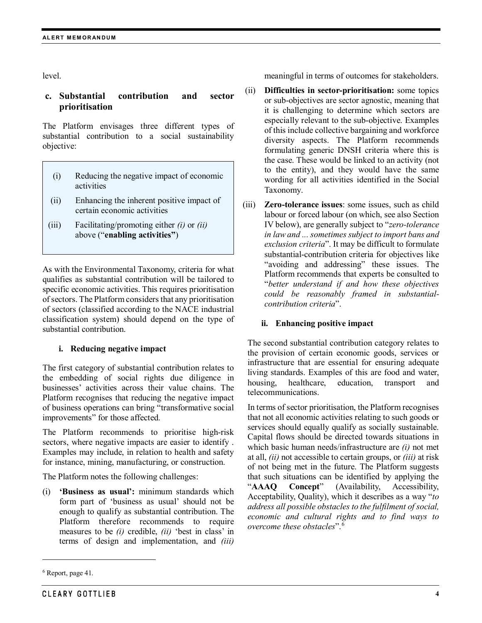level.

# **c. Substantial contribution and sector prioritisation**

The Platform envisages three different types of substantial contribution to a social sustainability objective:

- (i) Reducing the negative impact of economic activities
- (ii) Enhancing the inherent positive impact of certain economic activities
- (iii) Facilitating/promoting either *(i)* or *(ii)* above ("**enabling activities"**)

As with the Environmental Taxonomy, criteria for what qualifies as substantial contribution will be tailored to specific economic activities. This requires prioritisation of sectors. The Platform considers that any prioritisation of sectors (classified according to the NACE industrial classification system) should depend on the type of substantial contribution.

#### **i. Reducing negative impact**

The first category of substantial contribution relates to the embedding of social rights due diligence in businesses' activities across their value chains. The Platform recognises that reducing the negative impact of business operations can bring "transformative social improvements" for those affected.

The Platform recommends to prioritise high-risk sectors, where negative impacts are easier to identify . Examples may include, in relation to health and safety for instance, mining, manufacturing, or construction.

The Platform notes the following challenges:

**'Business as usual':** minimum standards which form part of 'business as usual' should not be enough to qualify as substantial contribution. The Platform therefore recommends to require measures to be *(i)* credible, *(ii)* 'best in class' in terms of design and implementation, and *(iii)*

 $\overline{a}$ 

meaningful in terms of outcomes for stakeholders.

- (ii) **Difficulties in sector-prioritisation:** some topics or sub-objectives are sector agnostic, meaning that it is challenging to determine which sectors are especially relevant to the sub-objective. Examples of this include collective bargaining and workforce diversity aspects. The Platform recommends formulating generic DNSH criteria where this is the case. These would be linked to an activity (not to the entity), and they would have the same wording for all activities identified in the Social Taxonomy.
- (iii) **Zero-tolerance issues**: some issues, such as child labour or forced labour (on which, see also Section IV below), are generally subject to "*zero-tolerance in law and ... sometimes subject to import bans and exclusion criteria*". It may be difficult to formulate substantial-contribution criteria for objectives like "avoiding and addressing" these issues. The Platform recommends that experts be consulted to "*better understand if and how these objectives could be reasonably framed in substantialcontribution criteria*".

#### **ii. Enhancing positive impact**

The second substantial contribution category relates to the provision of certain economic goods, services or infrastructure that are essential for ensuring adequate living standards. Examples of this are food and water, housing, healthcare, education, transport and telecommunications.

In terms of sector prioritisation, the Platform recognises that not all economic activities relating to such goods or services should equally qualify as socially sustainable. Capital flows should be directed towards situations in which basic human needs/infrastructure are *(i)* not met at all, *(ii)* not accessible to certain groups, or *(iii)* at risk of not being met in the future. The Platform suggests that such situations can be identified by applying the "**AAAQ Concept**" (Availability, Accessibility, Acceptability, Quality), which it describes as a way "*to address all possible obstacles to the fulfilment of social, economic and cultural rights and to find ways to overcome these obstacles*". [6](#page-3-0)

<span id="page-3-0"></span><sup>6</sup> Report, page 41.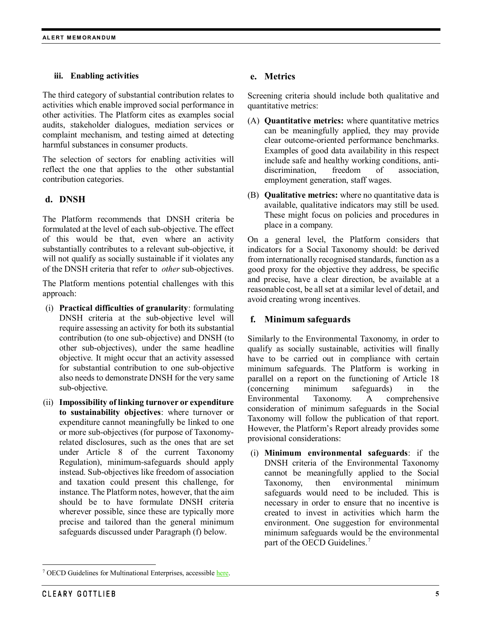#### **iii. Enabling activities**

The third category of substantial contribution relates to activities which enable improved social performance in other activities. The Platform cites as examples social audits, stakeholder dialogues, mediation services or complaint mechanism, and testing aimed at detecting harmful substances in consumer products.

The selection of sectors for enabling activities will reflect the one that applies to the other substantial contribution categories.

# **d. DNSH**

The Platform recommends that DNSH criteria be formulated at the level of each sub-objective. The effect of this would be that, even where an activity substantially contributes to a relevant sub-objective, it will not qualify as socially sustainable if it violates any of the DNSH criteria that refer to *other* sub-objectives.

The Platform mentions potential challenges with this approach:

- (i) **Practical difficulties of granularity**: formulating DNSH criteria at the sub-objective level will require assessing an activity for both its substantial contribution (to one sub-objective) and DNSH (to other sub-objectives), under the same headline objective. It might occur that an activity assessed for substantial contribution to one sub-objective also needs to demonstrate DNSH for the very same sub-objective.
- (ii) **Impossibility of linking turnover or expenditure to sustainability objectives**: where turnover or expenditure cannot meaningfully be linked to one or more sub-objectives (for purpose of Taxonomyrelated disclosures, such as the ones that are set under Article 8 of the current Taxonomy Regulation), minimum-safeguards should apply instead. Sub-objectives like freedom of association and taxation could present this challenge, for instance. The Platform notes, however, that the aim should be to have formulate DNSH criteria wherever possible, since these are typically more precise and tailored than the general minimum safeguards discussed under Paragraph (f) below.

# **e. Metrics**

Screening criteria should include both qualitative and quantitative metrics:

- (A) **Quantitative metrics:** where quantitative metrics can be meaningfully applied, they may provide clear outcome-oriented performance benchmarks. Examples of good data availability in this respect include safe and healthy working conditions, antidiscrimination, freedom of association, employment generation, staff wages.
- (B) **Qualitative metrics:** where no quantitative data is available, qualitative indicators may still be used. These might focus on policies and procedures in place in a company.

On a general level, the Platform considers that indicators for a Social Taxonomy should: be derived from internationally recognised standards, function as a good proxy for the objective they address, be specific and precise, have a clear direction, be available at a reasonable cost, be all set at a similar level of detail, and avoid creating wrong incentives.

# **f. Minimum safeguards**

Similarly to the Environmental Taxonomy, in order to qualify as socially sustainable, activities will finally have to be carried out in compliance with certain minimum safeguards. The Platform is working in parallel on a report on the functioning of Article 18 (concerning minimum safeguards) in the Environmental Taxonomy. A comprehensive consideration of minimum safeguards in the Social Taxonomy will follow the publication of that report. However, the Platform's Report already provides some provisional considerations:

(i) **Minimum environmental safeguards**: if the DNSH criteria of the Environmental Taxonomy cannot be meaningfully applied to the Social Taxonomy, then environmental minimum safeguards would need to be included. This is necessary in order to ensure that no incentive is created to invest in activities which harm the environment. One suggestion for environmental minimum safeguards would be the environmental part of the OECD Guidelines.<sup>[7](#page-4-0)</sup>

<span id="page-4-0"></span> <sup>7</sup> OECD Guidelines for Multinational Enterprises, accessible [here.](https://www.oecd.org/daf/inv/mne/48004323.pdf)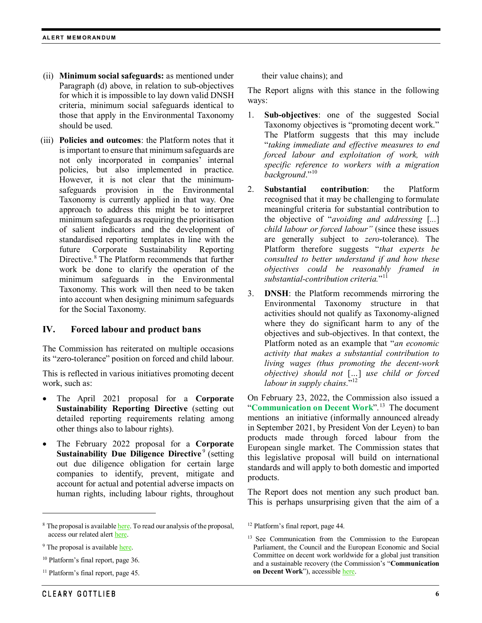- (ii) **Minimum social safeguards:** as mentioned under Paragraph (d) above, in relation to sub-objectives for which it is impossible to lay down valid DNSH criteria, minimum social safeguards identical to those that apply in the Environmental Taxonomy should be used.
- (iii) **Policies and outcomes**: the Platform notes that it is important to ensure that minimum safeguards are not only incorporated in companies' internal policies, but also implemented in practice. However, it is not clear that the minimumsafeguards provision in the Environmental Taxonomy is currently applied in that way. One approach to address this might be to interpret minimum safeguards as requiring the prioritisation of salient indicators and the development of standardised reporting templates in line with the future Corporate Sustainability Reporting Directive. [8](#page-5-0) The Platform recommends that further work be done to clarify the operation of the minimum safeguards in the Environmental Taxonomy. This work will then need to be taken into account when designing minimum safeguards for the Social Taxonomy.

# **IV. Forced labour and product bans**

The Commission has reiterated on multiple occasions its "zero-tolerance" position on forced and child labour.

This is reflected in various initiatives promoting decent work, such as:

- The April 2021 proposal for a **Corporate Sustainability Reporting Directive** (setting out detailed reporting requirements relating among other things also to labour rights).
- The February 2022 proposal for a **Corporate Sustainability Due Diligence Directive**<sup>[9](#page-5-1)</sup> (setting out due diligence obligation for certain large companies to identify, prevent, mitigate and account for actual and potential adverse impacts on human rights, including labour rights, throughout

 $\overline{a}$ 

<span id="page-5-2"></span> $10$  Platform's final report, page 36.

their value chains); and

The Report aligns with this stance in the following ways:

- 1. **Sub-objectives**: one of the suggested Social Taxonomy objectives is "promoting decent work." The Platform suggests that this may include "*taking immediate and effective measures to end forced labour and exploitation of work, with specific reference to workers with a migration background*."<sup>10</sup>
- 2. **Substantial contribution**: the Platform recognised that it may be challenging to formulate meaningful criteria for substantial contribution to the objective of "*avoiding and addressing* [*...*] *child labour or forced labour"* (since these issues are generally subject to *zero*-tolerance). The Platform therefore suggests "*that experts be consulted to better understand if and how these objectives could be reasonably framed in substantial-contribution criteria.*"[11](#page-5-3)
- 3. **DNSH**: the Platform recommends mirroring the Environmental Taxonomy structure in that activities should not qualify as Taxonomy-aligned where they do significant harm to any of the objectives and sub-objectives. In that context, the Platform noted as an example that "*an economic activity that makes a substantial contribution to living wages (thus promoting the decent-work objective) should not* [*…*] *use child or forced labour in supply chains*."[12](#page-5-0)

On February 23, 2022, the Commission also issued a "**Communication on Decent Work**".[13](#page-5-4) The document mentions an initiative (informally announced already in September 2021, by President Von der Leyen) to ban products made through forced labour from the European single market. The Commission states that this legislative proposal will build on international standards and will apply to both domestic and imported products.

The Report does not mention any such product ban. This is perhaps unsurprising given that the aim of a

<span id="page-5-0"></span><sup>&</sup>lt;sup>8</sup> The proposal is availabl[e here.](https://ec.europa.eu/transparency/documents-register/api/files/COM(2021)189_0/de00000001034388?rendition=false) To read our analysis of the proposal, access our related aler[t here.](https://www.clearygottlieb.com/-/media/files/alert-memos-2021/the-corporate-sustainability-reporting-directive.pdf)

<span id="page-5-4"></span><span id="page-5-1"></span><sup>&</sup>lt;sup>9</sup> The proposal is availabl[e here.](https://ec.europa.eu/info/sites/default/files/1_1_183885_prop_dir_susta_en.pdf)

<span id="page-5-3"></span><sup>11</sup> Platform's final report, page 45.

<sup>12</sup> Platform's final report, page 44.

<sup>&</sup>lt;sup>13</sup> See Communication from the Commission to the European Parliament, the Council and the European Economic and Social Committee on decent work worldwide for a global just transition and a sustainable recovery (the Commission's "**Communication on Decent Work**"), accessible [here.](https://www.google.com/url?sa=t&rct=j&q=&esrc=s&source=web&cd=&ved=2ahUKEwjMgs7vxrf2AhWFr6QKHYpIDJYQFnoECBQQAQ&url=https%3A%2F%2Fec.europa.eu%2Fsocial%2FBlobServlet%3FdocId%3D25260%26langId%3Den&usg=AOvVaw1p16y4DfZ3KbK0rSzHiOpy)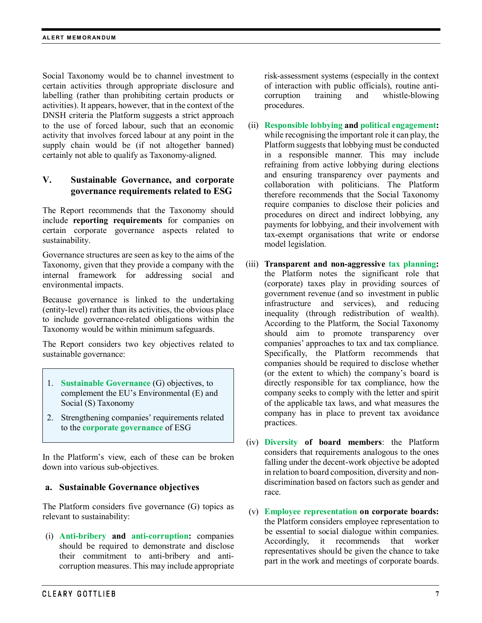Social Taxonomy would be to channel investment to certain activities through appropriate disclosure and labelling (rather than prohibiting certain products or activities). It appears, however, that in the context of the DNSH criteria the Platform suggests a strict approach to the use of forced labour, such that an economic activity that involves forced labour at any point in the supply chain would be (if not altogether banned) certainly not able to qualify as Taxonomy-aligned.

# **V. Sustainable Governance, and corporate governance requirements related to ESG**

The Report recommends that the Taxonomy should include **reporting requirements** for companies on certain corporate governance aspects related to sustainability.

Governance structures are seen as key to the aims of the Taxonomy, given that they provide a company with the internal framework for addressing social and environmental impacts.

Because governance is linked to the undertaking (entity-level) rather than its activities, the obvious place to include governance-related obligations within the Taxonomy would be within minimum safeguards.

The Report considers two key objectives related to sustainable governance:

- 1. **Sustainable Governance** (G) objectives, to complement the EU's Environmental (E) and Social (S) Taxonomy
- 2. Strengthening companies' requirements related to the **corporate governance** of ESG

In the Platform's view, each of these can be broken down into various sub-objectives.

# **a. Sustainable Governance objectives**

The Platform considers five governance (G) topics as relevant to sustainability:

(i) **Anti-bribery and anti-corruption:** companies should be required to demonstrate and disclose their commitment to anti-bribery and anticorruption measures. This may include appropriate risk-assessment systems (especially in the context of interaction with public officials), routine anticorruption training and whistle-blowing procedures.

- (ii) **Responsible lobbying and political engagement:** while recognising the important role it can play, the Platform suggests that lobbying must be conducted in a responsible manner. This may include refraining from active lobbying during elections and ensuring transparency over payments and collaboration with politicians. The Platform therefore recommends that the Social Taxonomy require companies to disclose their policies and procedures on direct and indirect lobbying, any payments for lobbying, and their involvement with tax-exempt organisations that write or endorse model legislation.
- (iii) **Transparent and non-aggressive tax planning:** the Platform notes the significant role that (corporate) taxes play in providing sources of government revenue (and so investment in public infrastructure and services), and reducing inequality (through redistribution of wealth). According to the Platform, the Social Taxonomy should aim to promote transparency over companies' approaches to tax and tax compliance. Specifically, the Platform recommends that companies should be required to disclose whether (or the extent to which) the company's board is directly responsible for tax compliance, how the company seeks to comply with the letter and spirit of the applicable tax laws, and what measures the company has in place to prevent tax avoidance practices.
- (iv) **Diversity of board members**: the Platform considers that requirements analogous to the ones falling under the decent-work objective be adopted in relation to board composition, diversity and nondiscrimination based on factors such as gender and race.
- (v) **Employee representation on corporate boards:** the Platform considers employee representation to be essential to social dialogue within companies. Accordingly, it recommends that worker representatives should be given the chance to take part in the work and meetings of corporate boards.